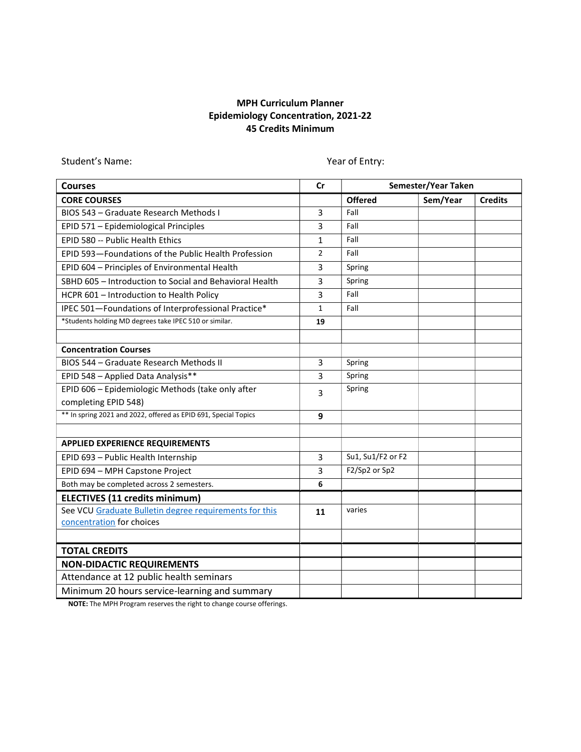## MPH Curriculum Planner Epidemiology Concentration, 2021-22 45 Credits Minimum

Student's Name: The Communication of Entry: Year of Entry:

| <b>Courses</b>                                                  | Cr             | Semester/Year Taken |          |                |
|-----------------------------------------------------------------|----------------|---------------------|----------|----------------|
| <b>CORE COURSES</b>                                             |                | <b>Offered</b>      | Sem/Year | <b>Credits</b> |
| BIOS 543 - Graduate Research Methods I                          | 3              | Fall                |          |                |
| EPID 571 - Epidemiological Principles                           | 3              | Fall                |          |                |
| EPID 580 -- Public Health Ethics                                | $\mathbf{1}$   | Fall                |          |                |
| EPID 593-Foundations of the Public Health Profession            | 2              | Fall                |          |                |
| EPID 604 - Principles of Environmental Health                   | $\overline{3}$ | Spring              |          |                |
| SBHD 605 - Introduction to Social and Behavioral Health         | $\overline{3}$ | Spring              |          |                |
| HCPR 601 - Introduction to Health Policy                        | 3              | Fall                |          |                |
| IPEC 501-Foundations of Interprofessional Practice*             | 1              | Fall                |          |                |
| *Students holding MD degrees take IPEC 510 or similar.          | 19             |                     |          |                |
|                                                                 |                |                     |          |                |
| <b>Concentration Courses</b>                                    |                |                     |          |                |
| BIOS 544 - Graduate Research Methods II                         | $\overline{3}$ | Spring              |          |                |
| EPID 548 - Applied Data Analysis**                              | 3              | Spring              |          |                |
| EPID 606 - Epidemiologic Methods (take only after               | 3              | Spring              |          |                |
| completing EPID 548)                                            |                |                     |          |                |
| ** In spring 2021 and 2022, offered as EPID 691, Special Topics | 9              |                     |          |                |
| <b>APPLIED EXPERIENCE REQUIREMENTS</b>                          |                |                     |          |                |
| EPID 693 - Public Health Internship                             | 3              | Su1, Su1/F2 or F2   |          |                |
| EPID 694 - MPH Capstone Project                                 | $\overline{3}$ | F2/Sp2 or Sp2       |          |                |
| Both may be completed across 2 semesters.                       | 6              |                     |          |                |
| <b>ELECTIVES (11 credits minimum)</b>                           |                |                     |          |                |
| See VCU Graduate Bulletin degree requirements for this          | 11             | varies              |          |                |
| concentration for choices                                       |                |                     |          |                |
|                                                                 |                |                     |          |                |
| <b>TOTAL CREDITS</b>                                            |                |                     |          |                |
| <b>NON-DIDACTIC REQUIREMENTS</b>                                |                |                     |          |                |
| Attendance at 12 public health seminars                         |                |                     |          |                |
| Minimum 20 hours service-learning and summary                   |                |                     |          |                |

NOTE: The MPH Program reserves the right to change course offerings.